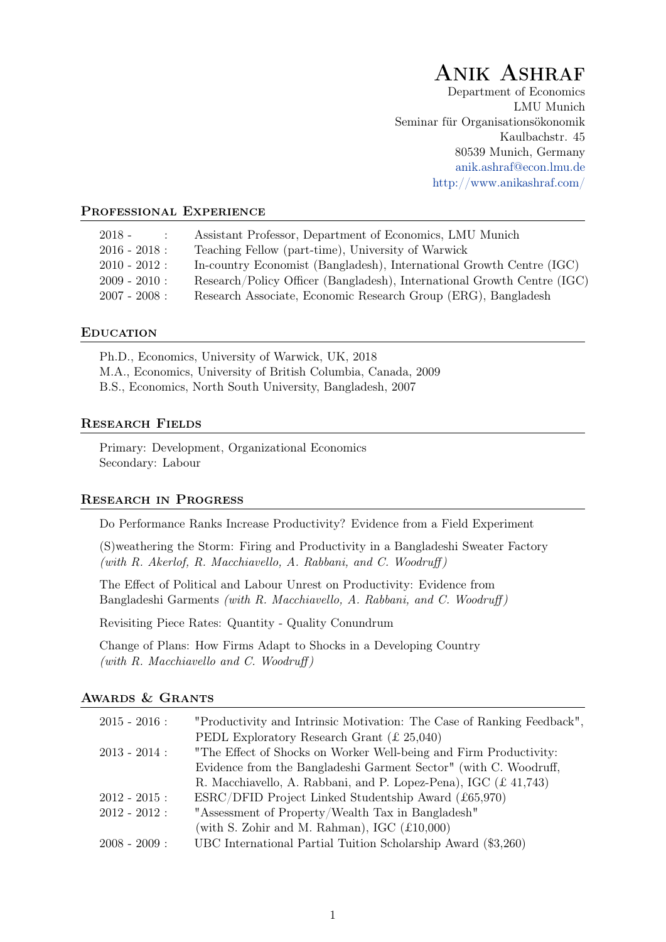# Anik Ashraf

Department of Economics LMU Munich Seminar für Organisationsökonomik Kaulbachstr. 45 80539 Munich, Germany [anik.ashraf@econ.lmu.de](mailto:anik.ashraf@econ.lmu.de) <http://www.anikashraf.com/>

#### PROFESSIONAL EXPERIENCE

| $2018 -$        | Assistant Professor, Department of Economics, LMU Munich                |
|-----------------|-------------------------------------------------------------------------|
| $2016 - 2018:$  | Teaching Fellow (part-time), University of Warwick                      |
| $2010 - 2012$ : | In-country Economist (Bangladesh), International Growth Centre (IGC)    |
| $2009 - 2010$ : | Research/Policy Officer (Bangladesh), International Growth Centre (IGC) |
| $2007 - 2008$ : | Research Associate, Economic Research Group (ERG), Bangladesh           |

#### **EDUCATION**

Ph.D., Economics, University of Warwick, UK, 2018 M.A., Economics, University of British Columbia, Canada, 2009 B.S., Economics, North South University, Bangladesh, 2007

### Research Fields

Primary: Development, Organizational Economics Secondary: Labour

#### Research in Progress

Do Performance Ranks Increase Productivity? Evidence from a Field Experiment

(S)weathering the Storm: Firing and Productivity in a Bangladeshi Sweater Factory (with R. Akerlof, R. Macchiavello, A. Rabbani, and C. Woodruff )

The Effect of Political and Labour Unrest on Productivity: Evidence from Bangladeshi Garments (with R. Macchiavello, A. Rabbani, and C. Woodruff )

Revisiting Piece Rates: Quantity - Quality Conundrum

Change of Plans: How Firms Adapt to Shocks in a Developing Country (with  $R.$  Macchiavello and  $C.$  Woodruff)

### Awards & Grants

| $2015 - 2016$ : | "Productivity and Intrinsic Motivation: The Case of Ranking Feedback", |
|-----------------|------------------------------------------------------------------------|
|                 | PEDL Exploratory Research Grant $(E 25,040)$                           |
| $2013 - 2014$ : | "The Effect of Shocks on Worker Well-being and Firm Productivity:      |
|                 | Evidence from the Bangladeshi Garment Sector" (with C. Woodruff,       |
|                 | R. Macchiavello, A. Rabbani, and P. Lopez-Pena), IGC (£41,743)         |
| $2012 - 2015$ : | $ESRC/DFID Project$ Linked Studentship Award (£65,970)                 |
| $2012 - 2012$ : | "Assessment of Property/Wealth Tax in Bangladesh"                      |
|                 | (with S. Zohir and M. Rahman), IGC $(\text{\textsterling}10,000)$      |
| $2008 - 2009$ : | UBC International Partial Tuition Scholarship Award (\$3,260)          |